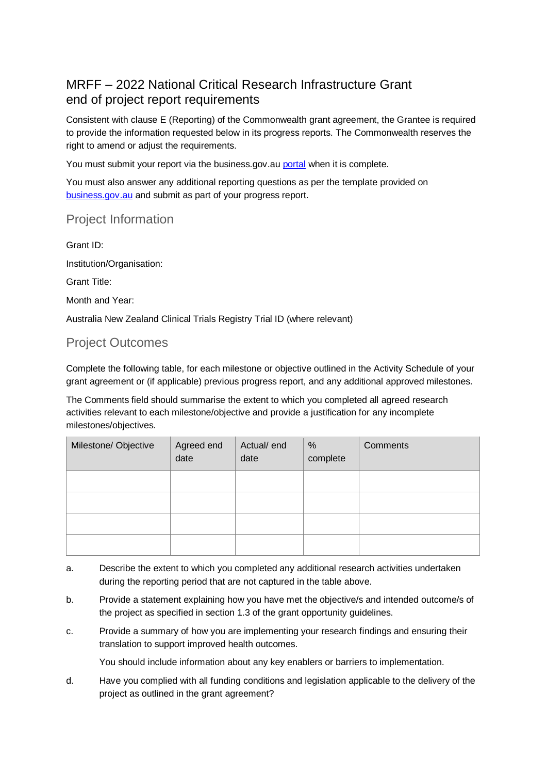# MRFF – 2022 National Critical Research Infrastructure Grant end of project report requirements

Consistent with clause E (Reporting) of the Commonwealth grant agreement, the Grantee is required to provide the information requested below in its progress reports. The Commonwealth reserves the right to amend or adjust the requirements.

You must submit your report via the business.gov.au [portal](https://portal.business.gov.au/) when it is complete.

You must also answer any additional reporting questions as per the template provided on [business.gov.au](https://business.gov.au/grants-and-programs/mrff-2022-national-critical-research-infrastructure-initiative#key-documents) and submit as part of your progress report.

## Project Information

Grant ID: Institution/Organisation: Grant Title: Month and Year: Australia New Zealand Clinical Trials Registry Trial ID (where relevant)

## Project Outcomes

Complete the following table, for each milestone or objective outlined in the Activity Schedule of your grant agreement or (if applicable) previous progress report, and any additional approved milestones.

The Comments field should summarise the extent to which you completed all agreed research activities relevant to each milestone/objective and provide a justification for any incomplete milestones/objectives.

| Milestone/ Objective | Agreed end<br>date | Actual/ end<br>date | %<br>complete | Comments |
|----------------------|--------------------|---------------------|---------------|----------|
|                      |                    |                     |               |          |
|                      |                    |                     |               |          |
|                      |                    |                     |               |          |
|                      |                    |                     |               |          |

- a. Describe the extent to which you completed any additional research activities undertaken during the reporting period that are not captured in the table above.
- b. Provide a statement explaining how you have met the objective/s and intended outcome/s of the project as specified in section 1.3 of the grant opportunity guidelines.
- c. Provide a summary of how you are implementing your research findings and ensuring their translation to support improved health outcomes.

You should include information about any key enablers or barriers to implementation.

d. Have you complied with all funding conditions and legislation applicable to the delivery of the project as outlined in the grant agreement?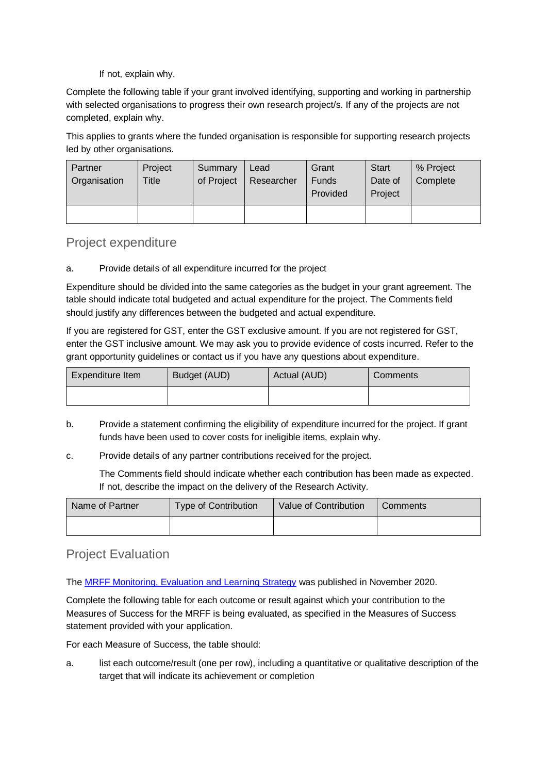If not, explain why.

Complete the following table if your grant involved identifying, supporting and working in partnership with selected organisations to progress their own research project/s. If any of the projects are not completed, explain why.

This applies to grants where the funded organisation is responsible for supporting research projects led by other organisations.

| Partner<br>Organisation | Project<br>Title | Summary<br>of Project | Lead<br>Researcher | Grant<br><b>Funds</b><br>Provided | <b>Start</b><br>Date of<br>Project | % Project<br>Complete |
|-------------------------|------------------|-----------------------|--------------------|-----------------------------------|------------------------------------|-----------------------|
|                         |                  |                       |                    |                                   |                                    |                       |

#### Project expenditure

a. Provide details of all expenditure incurred for the project

Expenditure should be divided into the same categories as the budget in your grant agreement. The table should indicate total budgeted and actual expenditure for the project. The Comments field should justify any differences between the budgeted and actual expenditure.

If you are registered for GST, enter the GST exclusive amount. If you are not registered for GST, enter the GST inclusive amount. We may ask you to provide evidence of costs incurred. Refer to the grant opportunity guidelines or contact us if you have any questions about expenditure.

| Expenditure Item | Budget (AUD) | Actual (AUD) | <b>Comments</b> |
|------------------|--------------|--------------|-----------------|
|                  |              |              |                 |

- b. Provide a statement confirming the eligibility of expenditure incurred for the project. If grant funds have been used to cover costs for ineligible items, explain why.
- c. Provide details of any partner contributions received for the project.

The Comments field should indicate whether each contribution has been made as expected. If not, describe the impact on the delivery of the Research Activity.

| Name of Partner | <b>Type of Contribution</b> | Value of Contribution | Comments |
|-----------------|-----------------------------|-----------------------|----------|
|                 |                             |                       |          |

### Project Evaluation

The [MRFF Monitoring, Evaluation and Learning Strategy](https://www.health.gov.au/resources/publications/mrff-monitoring-evaluation-and-learning-strategy-2020-21-to-2023-24) was published in November 2020.

Complete the following table for each outcome or result against which your contribution to the Measures of Success for the MRFF is being evaluated, as specified in the Measures of Success statement provided with your application.

For each Measure of Success, the table should:

a. list each outcome/result (one per row), including a quantitative or qualitative description of the target that will indicate its achievement or completion